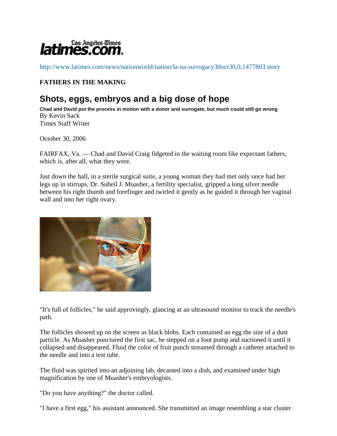

http://www.latimes.com/news/nationworld/nation/la-na-surrogacy30oct30,0,1477803.story

# **FATHERS IN THE MAKING**

# **Shots, eggs, embryos and a big dose of hope**

**Chad and David put the process in motion with a donor and surrogate, but much could still go wrong** By Kevin Sack Times Staff Writer

October 30, 2006

FAIRFAX, Va. — Chad and David Craig fidgeted in the waiting room like expectant fathers, which is, after all, what they were.

Just down the hall, in a sterile surgical suite, a young woman they had met only once had her legs up in stirrups. Dr. Suheil J. Muasher, a fertility specialist, gripped a long silver needle between his right thumb and forefinger and twirled it gently as he guided it through her vaginal wall and into her right ovary.



"It's full of follicles," he said approvingly, glancing at an ultrasound monitor to track the needle's path.

The follicles showed up on the screen as black blobs. Each contained an egg the size of a dust particle. As Muasher punctured the first sac, he stepped on a foot pump and suctioned it until it collapsed and disappeared. Fluid the color of fruit punch streamed through a catheter attached to the needle and into a test tube.

The fluid was spirited into an adjoining lab, decanted into a dish, and examined under high magnification by one of Muasher's embryologists.

"Do you have anything?" the doctor called.

"I have a first egg," his assistant announced. She transmitted an image resembling a star cluster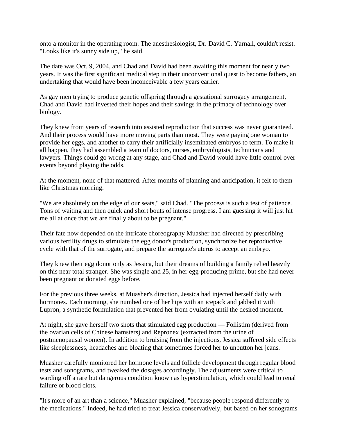onto a monitor in the operating room. The anesthesiologist, Dr. David C. Yarnall, couldn't resist. "Looks like it's sunny side up," he said.

The date was Oct. 9, 2004, and Chad and David had been awaiting this moment for nearly two years. It was the first significant medical step in their unconventional quest to become fathers, an undertaking that would have been inconceivable a few years earlier.

As gay men trying to produce genetic offspring through a gestational surrogacy arrangement, Chad and David had invested their hopes and their savings in the primacy of technology over biology.

They knew from years of research into assisted reproduction that success was never guaranteed. And their process would have more moving parts than most. They were paying one woman to provide her eggs, and another to carry their artificially inseminated embryos to term. To make it all happen, they had assembled a team of doctors, nurses, embryologists, technicians and lawyers. Things could go wrong at any stage, and Chad and David would have little control over events beyond playing the odds.

At the moment, none of that mattered. After months of planning and anticipation, it felt to them like Christmas morning.

"We are absolutely on the edge of our seats," said Chad. "The process is such a test of patience. Tons of waiting and then quick and short bouts of intense progress. I am guessing it will just hit me all at once that we are finally about to be pregnant."

Their fate now depended on the intricate choreography Muasher had directed by prescribing various fertility drugs to stimulate the egg donor's production, synchronize her reproductive cycle with that of the surrogate, and prepare the surrogate's uterus to accept an embryo.

They knew their egg donor only as Jessica, but their dreams of building a family relied heavily on this near total stranger. She was single and 25, in her egg-producing prime, but she had never been pregnant or donated eggs before.

For the previous three weeks, at Muasher's direction, Jessica had injected herself daily with hormones. Each morning, she numbed one of her hips with an icepack and jabbed it with Lupron, a synthetic formulation that prevented her from ovulating until the desired moment.

At night, she gave herself two shots that stimulated egg production — Follistim (derived from the ovarian cells of Chinese hamsters) and Repronex (extracted from the urine of postmenopausal women). In addition to bruising from the injections, Jessica suffered side effects like sleeplessness, headaches and bloating that sometimes forced her to unbutton her jeans.

Muasher carefully monitored her hormone levels and follicle development through regular blood tests and sonograms, and tweaked the dosages accordingly. The adjustments were critical to warding off a rare but dangerous condition known as hyperstimulation, which could lead to renal failure or blood clots.

"It's more of an art than a science," Muasher explained, "because people respond differently to the medications." Indeed, he had tried to treat Jessica conservatively, but based on her sonograms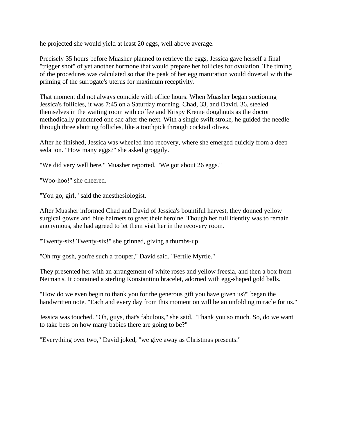he projected she would yield at least 20 eggs, well above average.

Precisely 35 hours before Muasher planned to retrieve the eggs, Jessica gave herself a final "trigger shot" of yet another hormone that would prepare her follicles for ovulation. The timing of the procedures was calculated so that the peak of her egg maturation would dovetail with the priming of the surrogate's uterus for maximum receptivity.

That moment did not always coincide with office hours. When Muasher began suctioning Jessica's follicles, it was 7:45 on a Saturday morning. Chad, 33, and David, 36, steeled themselves in the waiting room with coffee and Krispy Kreme doughnuts as the doctor methodically punctured one sac after the next. With a single swift stroke, he guided the needle through three abutting follicles, like a toothpick through cocktail olives.

After he finished, Jessica was wheeled into recovery, where she emerged quickly from a deep sedation. "How many eggs?" she asked groggily.

"We did very well here," Muasher reported. "We got about 26 eggs."

"Woo-hoo!" she cheered.

"You go, girl," said the anesthesiologist.

After Muasher informed Chad and David of Jessica's bountiful harvest, they donned yellow surgical gowns and blue hairnets to greet their heroine. Though her full identity was to remain anonymous, she had agreed to let them visit her in the recovery room.

"Twenty-six! Twenty-six!" she grinned, giving a thumbs-up.

"Oh my gosh, you're such a trouper," David said. "Fertile Myrtle."

They presented her with an arrangement of white roses and yellow freesia, and then a box from Neiman's. It contained a sterling Konstantino bracelet, adorned with egg-shaped gold balls.

"How do we even begin to thank you for the generous gift you have given us?" began the handwritten note. "Each and every day from this moment on will be an unfolding miracle for us."

Jessica was touched. "Oh, guys, that's fabulous," she said. "Thank you so much. So, do we want to take bets on how many babies there are going to be?"

"Everything over two," David joked, "we give away as Christmas presents."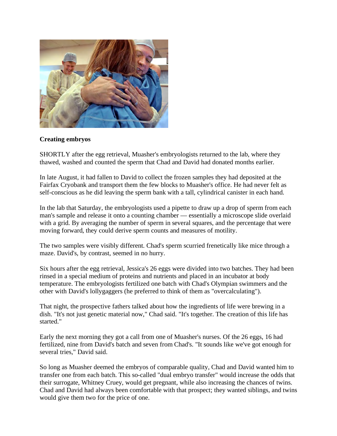

### **Creating embryos**

SHORTLY after the egg retrieval, Muasher's embryologists returned to the lab, where they thawed, washed and counted the sperm that Chad and David had donated months earlier.

In late August, it had fallen to David to collect the frozen samples they had deposited at the Fairfax Cryobank and transport them the few blocks to Muasher's office. He had never felt as self-conscious as he did leaving the sperm bank with a tall, cylindrical canister in each hand.

In the lab that Saturday, the embryologists used a pipette to draw up a drop of sperm from each man's sample and release it onto a counting chamber — essentially a microscope slide overlaid with a grid. By averaging the number of sperm in several squares, and the percentage that were moving forward, they could derive sperm counts and measures of motility.

The two samples were visibly different. Chad's sperm scurried frenetically like mice through a maze. David's, by contrast, seemed in no hurry.

Six hours after the egg retrieval, Jessica's 26 eggs were divided into two batches. They had been rinsed in a special medium of proteins and nutrients and placed in an incubator at body temperature. The embryologists fertilized one batch with Chad's Olympian swimmers and the other with David's lollygaggers (he preferred to think of them as "overcalculating").

That night, the prospective fathers talked about how the ingredients of life were brewing in a dish. "It's not just genetic material now," Chad said. "It's together. The creation of this life has started."

Early the next morning they got a call from one of Muasher's nurses. Of the 26 eggs, 16 had fertilized, nine from David's batch and seven from Chad's. "It sounds like we've got enough for several tries," David said.

So long as Muasher deemed the embryos of comparable quality, Chad and David wanted him to transfer one from each batch. This so-called "dual embryo transfer" would increase the odds that their surrogate, Whitney Cruey, would get pregnant, while also increasing the chances of twins. Chad and David had always been comfortable with that prospect; they wanted siblings, and twins would give them two for the price of one.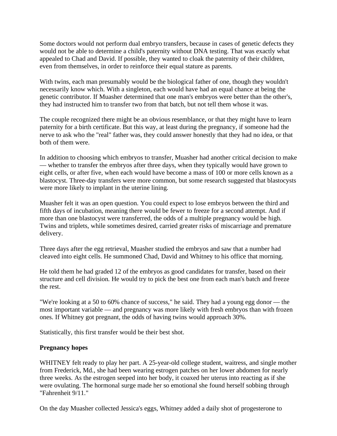Some doctors would not perform dual embryo transfers, because in cases of genetic defects they would not be able to determine a child's paternity without DNA testing. That was exactly what appealed to Chad and David. If possible, they wanted to cloak the paternity of their children, even from themselves, in order to reinforce their equal stature as parents.

With twins, each man presumably would be the biological father of one, though they wouldn't necessarily know which. With a singleton, each would have had an equal chance at being the genetic contributor. If Muasher determined that one man's embryos were better than the other's, they had instructed him to transfer two from that batch, but not tell them whose it was.

The couple recognized there might be an obvious resemblance, or that they might have to learn paternity for a birth certificate. But this way, at least during the pregnancy, if someone had the nerve to ask who the "real" father was, they could answer honestly that they had no idea, or that both of them were.

In addition to choosing which embryos to transfer, Muasher had another critical decision to make — whether to transfer the embryos after three days, when they typically would have grown to eight cells, or after five, when each would have become a mass of 100 or more cells known as a blastocyst. Three-day transfers were more common, but some research suggested that blastocysts were more likely to implant in the uterine lining.

Muasher felt it was an open question. You could expect to lose embryos between the third and fifth days of incubation, meaning there would be fewer to freeze for a second attempt. And if more than one blastocyst were transferred, the odds of a multiple pregnancy would be high. Twins and triplets, while sometimes desired, carried greater risks of miscarriage and premature delivery.

Three days after the egg retrieval, Muasher studied the embryos and saw that a number had cleaved into eight cells. He summoned Chad, David and Whitney to his office that morning.

He told them he had graded 12 of the embryos as good candidates for transfer, based on their structure and cell division. He would try to pick the best one from each man's batch and freeze the rest.

"We're looking at a 50 to 60% chance of success," he said. They had a young egg donor — the most important variable — and pregnancy was more likely with fresh embryos than with frozen ones. If Whitney got pregnant, the odds of having twins would approach 30%.

Statistically, this first transfer would be their best shot.

# **Pregnancy hopes**

WHITNEY felt ready to play her part. A 25-year-old college student, waitress, and single mother from Frederick, Md., she had been wearing estrogen patches on her lower abdomen for nearly three weeks. As the estrogen seeped into her body, it coaxed her uterus into reacting as if she were ovulating. The hormonal surge made her so emotional she found herself sobbing through "Fahrenheit 9/11."

On the day Muasher collected Jessica's eggs, Whitney added a daily shot of progesterone to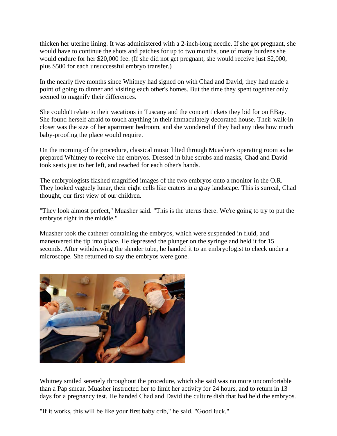thicken her uterine lining. It was administered with a 2-inch-long needle. If she got pregnant, she would have to continue the shots and patches for up to two months, one of many burdens she would endure for her \$20,000 fee. (If she did not get pregnant, she would receive just \$2,000, plus \$500 for each unsuccessful embryo transfer.)

In the nearly five months since Whitney had signed on with Chad and David, they had made a point of going to dinner and visiting each other's homes. But the time they spent together only seemed to magnify their differences.

She couldn't relate to their vacations in Tuscany and the concert tickets they bid for on EBay. She found herself afraid to touch anything in their immaculately decorated house. Their walk-in closet was the size of her apartment bedroom, and she wondered if they had any idea how much baby-proofing the place would require.

On the morning of the procedure, classical music lilted through Muasher's operating room as he prepared Whitney to receive the embryos. Dressed in blue scrubs and masks, Chad and David took seats just to her left, and reached for each other's hands.

The embryologists flashed magnified images of the two embryos onto a monitor in the O.R. They looked vaguely lunar, their eight cells like craters in a gray landscape. This is surreal, Chad thought, our first view of our children.

"They look almost perfect," Muasher said. "This is the uterus there. We're going to try to put the embryos right in the middle."

Muasher took the catheter containing the embryos, which were suspended in fluid, and maneuvered the tip into place. He depressed the plunger on the syringe and held it for 15 seconds. After withdrawing the slender tube, he handed it to an embryologist to check under a microscope. She returned to say the embryos were gone.



Whitney smiled serenely throughout the procedure, which she said was no more uncomfortable than a Pap smear. Muasher instructed her to limit her activity for 24 hours, and to return in 13 days for a pregnancy test. He handed Chad and David the culture dish that had held the embryos.

"If it works, this will be like your first baby crib," he said. "Good luck."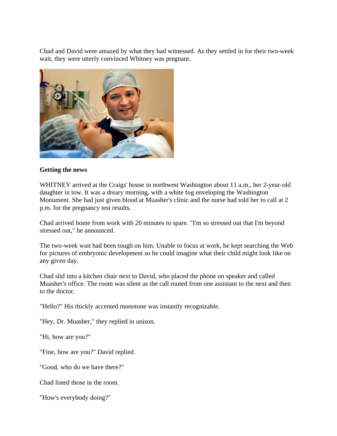Chad and David were amazed by what they had witnessed. As they settled in for their two-week wait, they were utterly convinced Whitney was pregnant.



#### **Getting the news**

WHITNEY arrived at the Craigs' house in northwest Washington about 11 a.m., her 2-year-old daughter in tow. It was a dreary morning, with a white fog enveloping the Washington Monument. She had just given blood at Muasher's clinic and the nurse had told her to call at 2 p.m. for the pregnancy test results.

Chad arrived home from work with 20 minutes to spare. "I'm so stressed out that I'm beyond stressed out," he announced.

The two-week wait had been tough on him. Unable to focus at work, he kept searching the Web for pictures of embryonic development so he could imagine what their child might look like on any given day.

Chad slid into a kitchen chair next to David, who placed the phone on speaker and called Muasher's office. The room was silent as the call routed from one assistant to the next and then to the doctor.

"Hello?" His thickly accented monotone was instantly recognizable.

"Hey, Dr. Muasher," they replied in unison.

"Hi, how are you?"

"Fine, how are you?" David replied.

"Good, who do we have there?"

Chad listed those in the room.

"How's everybody doing?"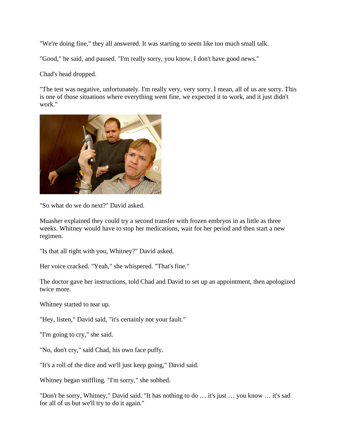"We're doing fine," they all answered. It was starting to seem like too much small talk.

"Good," he said, and paused. "I'm really sorry, you know, I don't have good news."

Chad's head dropped.

"The test was negative, unfortunately. I'm really very, very sorry. I mean, all of us are sorry. This is one of those situations where everything went fine, we expected it to work, and it just didn't work."



"So what do we do next?" David asked.

Muasher explained they could try a second transfer with frozen embryos in as little as three weeks. Whitney would have to stop her medications, wait for her period and then start a new regimen.

"Is that all right with you, Whitney?" David asked.

Her voice cracked. "Yeah," she whispered. "That's fine."

The doctor gave her instructions, told Chad and David to set up an appointment, then apologized twice more.

Whitney started to tear up.

"Hey, listen," David said, "it's certainly not your fault."

"I'm going to cry," she said.

"No, don't cry," said Chad, his own face puffy.

"It's a roll of the dice and we'll just keep going," David said.

Whitney began sniffling. "I'm sorry," she sobbed.

"Don't be sorry, Whitney," David said. "It has nothing to do … it's just … you know … it's sad for all of us but we'll try to do it again."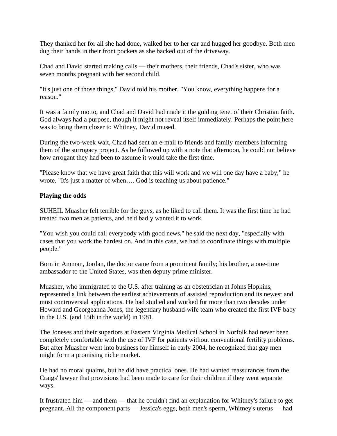They thanked her for all she had done, walked her to her car and hugged her goodbye. Both men dug their hands in their front pockets as she backed out of the driveway.

Chad and David started making calls — their mothers, their friends, Chad's sister, who was seven months pregnant with her second child.

"It's just one of those things," David told his mother. "You know, everything happens for a reason."

It was a family motto, and Chad and David had made it the guiding tenet of their Christian faith. God always had a purpose, though it might not reveal itself immediately. Perhaps the point here was to bring them closer to Whitney, David mused.

During the two-week wait, Chad had sent an e-mail to friends and family members informing them of the surrogacy project. As he followed up with a note that afternoon, he could not believe how arrogant they had been to assume it would take the first time.

"Please know that we have great faith that this will work and we will one day have a baby," he wrote. "It's just a matter of when…. God is teaching us about patience."

### **Playing the odds**

SUHEIL Muasher felt terrible for the guys, as he liked to call them. It was the first time he had treated two men as patients, and he'd badly wanted it to work.

"You wish you could call everybody with good news," he said the next day, "especially with cases that you work the hardest on. And in this case, we had to coordinate things with multiple people."

Born in Amman, Jordan, the doctor came from a prominent family; his brother, a one-time ambassador to the United States, was then deputy prime minister.

Muasher, who immigrated to the U.S. after training as an obstetrician at Johns Hopkins, represented a link between the earliest achievements of assisted reproduction and its newest and most controversial applications. He had studied and worked for more than two decades under Howard and Georgeanna Jones, the legendary husband-wife team who created the first IVF baby in the U.S. (and 15th in the world) in 1981.

The Joneses and their superiors at Eastern Virginia Medical School in Norfolk had never been completely comfortable with the use of IVF for patients without conventional fertility problems. But after Muasher went into business for himself in early 2004, he recognized that gay men might form a promising niche market.

He had no moral qualms, but he did have practical ones. He had wanted reassurances from the Craigs' lawyer that provisions had been made to care for their children if they went separate ways.

It frustrated him — and them — that he couldn't find an explanation for Whitney's failure to get pregnant. All the component parts — Jessica's eggs, both men's sperm, Whitney's uterus — had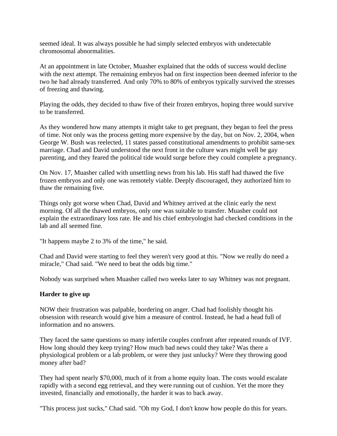seemed ideal. It was always possible he had simply selected embryos with undetectable chromosomal abnormalities.

At an appointment in late October, Muasher explained that the odds of success would decline with the next attempt. The remaining embryos had on first inspection been deemed inferior to the two he had already transferred. And only 70% to 80% of embryos typically survived the stresses of freezing and thawing.

Playing the odds, they decided to thaw five of their frozen embryos, hoping three would survive to be transferred.

As they wondered how many attempts it might take to get pregnant, they began to feel the press of time. Not only was the process getting more expensive by the day, but on Nov. 2, 2004, when George W. Bush was reelected, 11 states passed constitutional amendments to prohibit same-sex marriage. Chad and David understood the next front in the culture wars might well be gay parenting, and they feared the political tide would surge before they could complete a pregnancy.

On Nov. 17, Muasher called with unsettling news from his lab. His staff had thawed the five frozen embryos and only one was remotely viable. Deeply discouraged, they authorized him to thaw the remaining five.

Things only got worse when Chad, David and Whitney arrived at the clinic early the next morning. Of all the thawed embryos, only one was suitable to transfer. Muasher could not explain the extraordinary loss rate. He and his chief embryologist had checked conditions in the lab and all seemed fine.

"It happens maybe 2 to 3% of the time," he said.

Chad and David were starting to feel they weren't very good at this. "Now we really do need a miracle," Chad said. "We need to beat the odds big time."

Nobody was surprised when Muasher called two weeks later to say Whitney was not pregnant.

#### **Harder to give up**

NOW their frustration was palpable, bordering on anger. Chad had foolishly thought his obsession with research would give him a measure of control. Instead, he had a head full of information and no answers.

They faced the same questions so many infertile couples confront after repeated rounds of IVF. How long should they keep trying? How much bad news could they take? Was there a physiological problem or a lab problem, or were they just unlucky? Were they throwing good money after bad?

They had spent nearly \$70,000, much of it from a home equity loan. The costs would escalate rapidly with a second egg retrieval, and they were running out of cushion. Yet the more they invested, financially and emotionally, the harder it was to back away.

"This process just sucks," Chad said. "Oh my God, I don't know how people do this for years.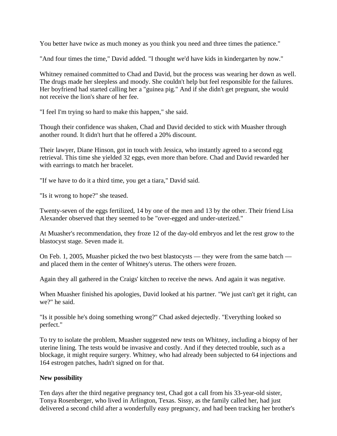You better have twice as much money as you think you need and three times the patience."

"And four times the time," David added. "I thought we'd have kids in kindergarten by now."

Whitney remained committed to Chad and David, but the process was wearing her down as well. The drugs made her sleepless and moody. She couldn't help but feel responsible for the failures. Her boyfriend had started calling her a "guinea pig." And if she didn't get pregnant, she would not receive the lion's share of her fee.

"I feel I'm trying so hard to make this happen," she said.

Though their confidence was shaken, Chad and David decided to stick with Muasher through another round. It didn't hurt that he offered a 20% discount.

Their lawyer, Diane Hinson, got in touch with Jessica, who instantly agreed to a second egg retrieval. This time she yielded 32 eggs, even more than before. Chad and David rewarded her with earrings to match her bracelet.

"If we have to do it a third time, you get a tiara," David said.

"Is it wrong to hope?" she teased.

Twenty-seven of the eggs fertilized, 14 by one of the men and 13 by the other. Their friend Lisa Alexander observed that they seemed to be "over-egged and under-uterized."

At Muasher's recommendation, they froze 12 of the day-old embryos and let the rest grow to the blastocyst stage. Seven made it.

On Feb. 1, 2005, Muasher picked the two best blastocysts — they were from the same batch and placed them in the center of Whitney's uterus. The others were frozen.

Again they all gathered in the Craigs' kitchen to receive the news. And again it was negative.

When Muasher finished his apologies, David looked at his partner. "We just can't get it right, can we?" he said.

"Is it possible he's doing something wrong?" Chad asked dejectedly. "Everything looked so perfect."

To try to isolate the problem, Muasher suggested new tests on Whitney, including a biopsy of her uterine lining. The tests would be invasive and costly. And if they detected trouble, such as a blockage, it might require surgery. Whitney, who had already been subjected to 64 injections and 164 estrogen patches, hadn't signed on for that.

# **New possibility**

Ten days after the third negative pregnancy test, Chad got a call from his 33-year-old sister, Tonya Rosenberger, who lived in Arlington, Texas. Sissy, as the family called her, had just delivered a second child after a wonderfully easy pregnancy, and had been tracking her brother's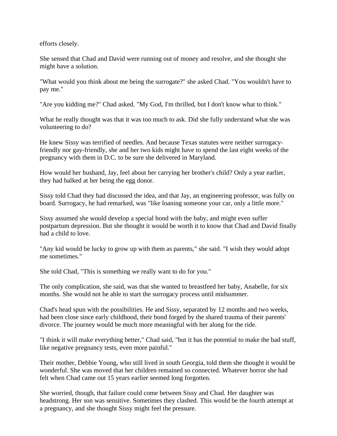efforts closely.

She sensed that Chad and David were running out of money and resolve, and she thought she might have a solution.

"What would you think about me being the surrogate?" she asked Chad. "You wouldn't have to pay me."

"Are you kidding me?" Chad asked. "My God, I'm thrilled, but I don't know what to think."

What he really thought was that it was too much to ask. Did she fully understand what she was volunteering to do?

He knew Sissy was terrified of needles. And because Texas statutes were neither surrogacyfriendly nor gay-friendly, she and her two kids might have to spend the last eight weeks of the pregnancy with them in D.C. to be sure she delivered in Maryland.

How would her husband, Jay, feel about her carrying her brother's child? Only a year earlier, they had balked at her being the egg donor.

Sissy told Chad they had discussed the idea, and that Jay, an engineering professor, was fully on board. Surrogacy, he had remarked, was "like loaning someone your car, only a little more."

Sissy assumed she would develop a special bond with the baby, and might even suffer postpartum depression. But she thought it would be worth it to know that Chad and David finally had a child to love.

"Any kid would be lucky to grow up with them as parents," she said. "I wish they would adopt me sometimes."

She told Chad, "This is something we really want to do for you."

The only complication, she said, was that she wanted to breastfeed her baby, Anabelle, for six months. She would not be able to start the surrogacy process until midsummer.

Chad's head spun with the possibilities. He and Sissy, separated by 12 months and two weeks, had been close since early childhood, their bond forged by the shared trauma of their parents' divorce. The journey would be much more meaningful with her along for the ride.

"I think it will make everything better," Chad said, "but it has the potential to make the bad stuff, like negative pregnancy tests, even more painful."

Their mother, Debbie Young, who still lived in south Georgia, told them she thought it would be wonderful. She was moved that her children remained so connected. Whatever horror she had felt when Chad came out 15 years earlier seemed long forgotten.

She worried, though, that failure could come between Sissy and Chad. Her daughter was headstrong. Her son was sensitive. Sometimes they clashed. This would be the fourth attempt at a pregnancy, and she thought Sissy might feel the pressure.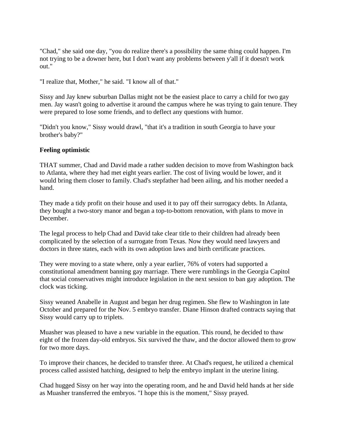"Chad," she said one day, "you do realize there's a possibility the same thing could happen. I'm not trying to be a downer here, but I don't want any problems between y'all if it doesn't work out."

"I realize that, Mother," he said. "I know all of that."

Sissy and Jay knew suburban Dallas might not be the easiest place to carry a child for two gay men. Jay wasn't going to advertise it around the campus where he was trying to gain tenure. They were prepared to lose some friends, and to deflect any questions with humor.

"Didn't you know," Sissy would drawl, "that it's a tradition in south Georgia to have your brother's baby?"

### **Feeling optimistic**

THAT summer, Chad and David made a rather sudden decision to move from Washington back to Atlanta, where they had met eight years earlier. The cost of living would be lower, and it would bring them closer to family. Chad's stepfather had been ailing, and his mother needed a hand.

They made a tidy profit on their house and used it to pay off their surrogacy debts. In Atlanta, they bought a two-story manor and began a top-to-bottom renovation, with plans to move in December.

The legal process to help Chad and David take clear title to their children had already been complicated by the selection of a surrogate from Texas. Now they would need lawyers and doctors in three states, each with its own adoption laws and birth certificate practices.

They were moving to a state where, only a year earlier, 76% of voters had supported a constitutional amendment banning gay marriage. There were rumblings in the Georgia Capitol that social conservatives might introduce legislation in the next session to ban gay adoption. The clock was ticking.

Sissy weaned Anabelle in August and began her drug regimen. She flew to Washington in late October and prepared for the Nov. 5 embryo transfer. Diane Hinson drafted contracts saying that Sissy would carry up to triplets.

Muasher was pleased to have a new variable in the equation. This round, he decided to thaw eight of the frozen day-old embryos. Six survived the thaw, and the doctor allowed them to grow for two more days.

To improve their chances, he decided to transfer three. At Chad's request, he utilized a chemical process called assisted hatching, designed to help the embryo implant in the uterine lining.

Chad hugged Sissy on her way into the operating room, and he and David held hands at her side as Muasher transferred the embryos. "I hope this is the moment," Sissy prayed.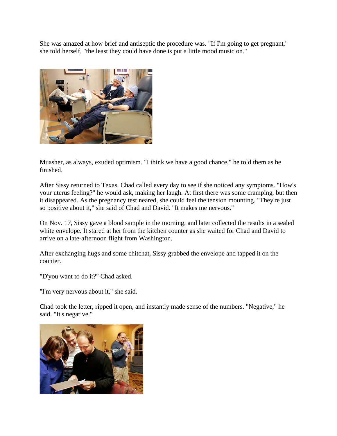She was amazed at how brief and antiseptic the procedure was. "If I'm going to get pregnant," she told herself, "the least they could have done is put a little mood music on."



Muasher, as always, exuded optimism. "I think we have a good chance," he told them as he finished.

After Sissy returned to Texas, Chad called every day to see if she noticed any symptoms. "How's your uterus feeling?" he would ask, making her laugh. At first there was some cramping, but then it disappeared. As the pregnancy test neared, she could feel the tension mounting. "They're just so positive about it," she said of Chad and David. "It makes me nervous."

On Nov. 17, Sissy gave a blood sample in the morning, and later collected the results in a sealed white envelope. It stared at her from the kitchen counter as she waited for Chad and David to arrive on a late-afternoon flight from Washington.

After exchanging hugs and some chitchat, Sissy grabbed the envelope and tapped it on the counter.

"D'you want to do it?" Chad asked.

"I'm very nervous about it," she said.

Chad took the letter, ripped it open, and instantly made sense of the numbers. "Negative," he said. "It's negative."

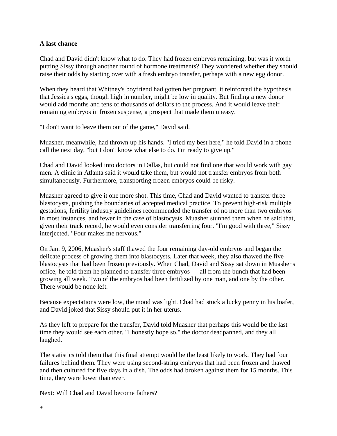#### **A last chance**

Chad and David didn't know what to do. They had frozen embryos remaining, but was it worth putting Sissy through another round of hormone treatments? They wondered whether they should raise their odds by starting over with a fresh embryo transfer, perhaps with a new egg donor.

When they heard that Whitney's boyfriend had gotten her pregnant, it reinforced the hypothesis that Jessica's eggs, though high in number, might be low in quality. But finding a new donor would add months and tens of thousands of dollars to the process. And it would leave their remaining embryos in frozen suspense, a prospect that made them uneasy.

"I don't want to leave them out of the game," David said.

Muasher, meanwhile, had thrown up his hands. "I tried my best here," he told David in a phone call the next day, "but I don't know what else to do. I'm ready to give up."

Chad and David looked into doctors in Dallas, but could not find one that would work with gay men. A clinic in Atlanta said it would take them, but would not transfer embryos from both simultaneously. Furthermore, transporting frozen embryos could be risky.

Muasher agreed to give it one more shot. This time, Chad and David wanted to transfer three blastocysts, pushing the boundaries of accepted medical practice. To prevent high-risk multiple gestations, fertility industry guidelines recommended the transfer of no more than two embryos in most instances, and fewer in the case of blastocysts. Muasher stunned them when he said that, given their track record, he would even consider transferring four. "I'm good with three," Sissy interjected. "Four makes me nervous."

On Jan. 9, 2006, Muasher's staff thawed the four remaining day-old embryos and began the delicate process of growing them into blastocysts. Later that week, they also thawed the five blastocysts that had been frozen previously. When Chad, David and Sissy sat down in Muasher's office, he told them he planned to transfer three embryos — all from the bunch that had been growing all week. Two of the embryos had been fertilized by one man, and one by the other. There would be none left.

Because expectations were low, the mood was light. Chad had stuck a lucky penny in his loafer, and David joked that Sissy should put it in her uterus.

As they left to prepare for the transfer, David told Muasher that perhaps this would be the last time they would see each other. "I honestly hope so," the doctor deadpanned, and they all laughed.

The statistics told them that this final attempt would be the least likely to work. They had four failures behind them. They were using second-string embryos that had been frozen and thawed and then cultured for five days in a dish. The odds had broken against them for 15 months. This time, they were lower than ever.

Next: Will Chad and David become fathers?